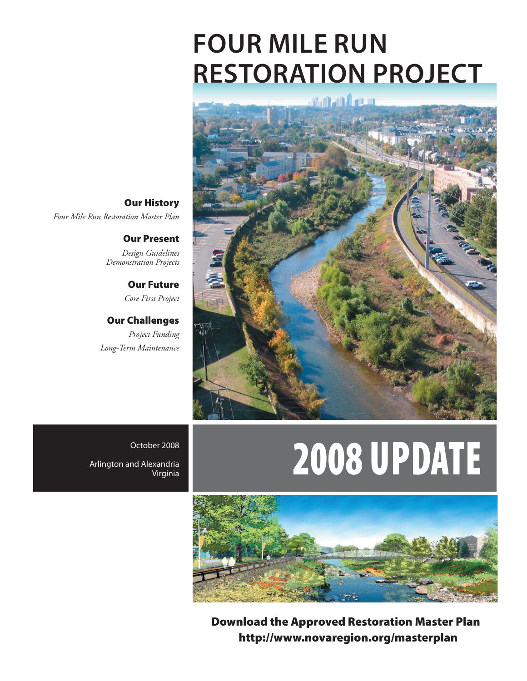# **FOUR MILE RUN RESTORATION PROJECT**



# Per 2008 **UPDATE**



**Download the Approved Restoration Master Plan http://www.novaregion.org/masterplan**

**Our History**  *Four Mile Run Restoration Master Plan*

> **Our Present**  *Design Guidelines Demonstration Projects*

> > **Our Future**  *Core First Project*

**Our Challenges**  *Project Funding Long-Term Maintenance*

October 2008 Arlington and Alexandria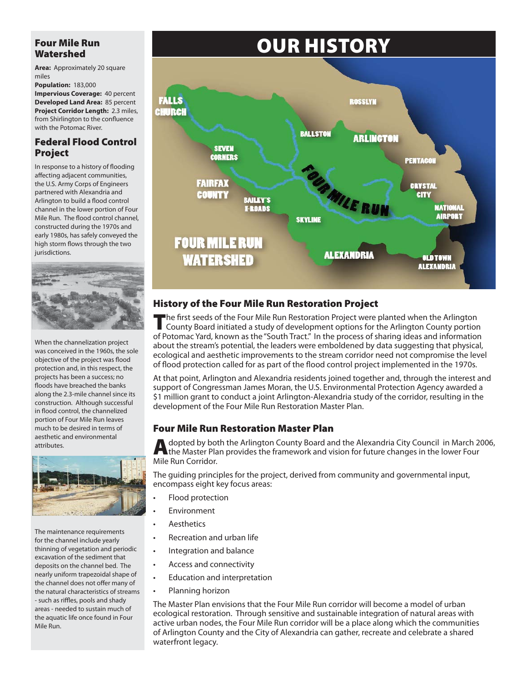### **Four Mile Run Watershed**

**Area:** Approximately 20 square miles

**Population:** 183,000

**Impervious Coverage:** 40 percent **Developed Land Area:** 85 percent **Project Corridor Length:** 2.3 miles, from Shirlington to the confluence with the Potomac River.

### **Federal Flood Control Project**

In response to a history of flooding affecting adjacent communities, the U.S. Army Corps of Engineers partnered with Alexandria and Arlington to build a flood control channel in the lower portion of Four Mile Run. The flood control channel, constructed during the 1970s and early 1980s, has safely conveyed the high storm flows through the two jurisdictions.



When the channelization project was conceived in the 1960s, the sole objective of the project was flood protection and, in this respect, the projects has been a success; no floods have breached the banks along the 2.3-mile channel since its construction. Although successful in flood control, the channelized portion of Four Mile Run leaves much to be desired in terms of aesthetic and environmental attributes.



The maintenance requirements for the channel include yearly thinning of vegetation and periodic excavation of the sediment that deposits on the channel bed. The nearly uniform trapezoidal shape of the channel does not offer many of the natural characteristics of streams - such as riffles, pools and shady areas - needed to sustain much of the aquatic life once found in Four Mile Run.

# **OUR HISTORY**



# **History of the Four Mile Run Restoration Project**

The first seeds of the Four Mile Run Restoration Project were planted when the Arlington County Board initiated a study of development options for the Arlington County portion of Potomac Yard, known as the "South Tract." In the process of sharing ideas and information about the stream's potential, the leaders were emboldened by data suggesting that physical, ecological and aesthetic improvements to the stream corridor need not compromise the level of flood protection called for as part of the flood control project implemented in the 1970s.

At that point, Arlington and Alexandria residents joined together and, through the interest and support of Congressman James Moran, the U.S. Environmental Protection Agency awarded a \$1 million grant to conduct a joint Arlington-Alexandria study of the corridor, resulting in the development of the Four Mile Run Restoration Master Plan.

# **Four Mile Run Restoration Master Plan**

A dopted by both the Arlington County Board and the Alexandria City Council in March 2006,<br>the Master Plan provides the framework and vision for future changes in the lower Four Mile Run Corridor.

The guiding principles for the project, derived from community and governmental input, encompass eight key focus areas:

- Flood protection •
- Environment •
- Aesthetics •

•

- Recreation and urban life •
- Integration and balance
- Access and connectivity •
- Education and interpretation •
- Planning horizon •

The Master Plan envisions that the Four Mile Run corridor will become a model of urban ecological restoration. Through sensitive and sustainable integration of natural areas with active urban nodes, the Four Mile Run corridor will be a place along which the communities of Arlington County and the City of Alexandria can gather, recreate and celebrate a shared waterfront legacy.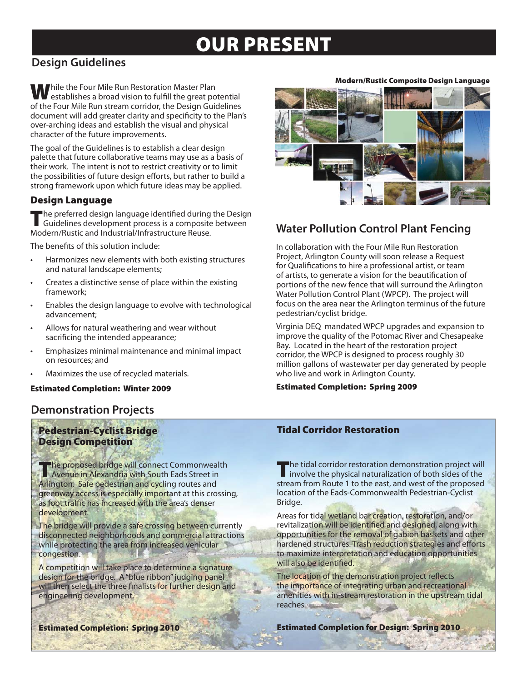# **OUR PRESENT**

# **Design Guidelines**

**While the Four Mile Run Restoration Master Plan** establishes a broad vision to fulfill the great potential of the Four Mile Run stream corridor, the Design Guidelines document will add greater clarity and specificity to the Plan's over-arching ideas and establish the visual and physical character of the future improvements.

The goal of the Guidelines is to establish a clear design palette that future collaborative teams may use as a basis of their work. The intent is not to restrict creativity or to limit the possibilities of future design efforts, but rather to build a strong framework upon which future ideas may be applied.

### **Design Language**

**T**he preferred design language identified during the Design Guidelines development process is a composite between Modern/Rustic and Industrial/Infrastructure Reuse.

The benefits of this solution include:

- Harmonizes new elements with both existing structures and natural landscape elements; •
- Creates a distinctive sense of place within the existing framework; •
- Enables the design language to evolve with technological advancement; •
- Allows for natural weathering and wear without sacrificing the intended appearance; •
- Emphasizes minimal maintenance and minimal impact on resources; and •
- Maximizes the use of recycled materials. •

#### **Estimated Completion: Winter 2009**

# **Demonstration Projects**

### **Pedestrian-Cyclist Bridge Design Competition**

**The proposed bridge will connect Commonwealth<br>Avenue in Alexandria with South Eads Street in** Arlington. Safe pedestrian and cycling routes and greenway access is especially important at this crossing, as foot traffic has increased with the area's denser development.

The bridge will provide a safe crossing between currently disconnected neighborhoods and commercial attractions while protecting the area from increased vehicular congestion.

A competition will take place to determine a signature design for the bridge. A "blue ribbon" judging panel will then select the three finalists for further design and engineering development.

#### **Modern/Rustic Composite Design Language**



# **Water Pollution Control Plant Fencing**

In collaboration with the Four Mile Run Restoration Project, Arlington County will soon release a Request for Qualifications to hire a professional artist, or team of artists, to generate a vision for the beautification of portions of the new fence that will surround the Arlington Water Pollution Control Plant (WPCP). The project will focus on the area near the Arlington terminus of the future pedestrian/cyclist bridge.

Virginia DEQ mandated WPCP upgrades and expansion to improve the quality of the Potomac River and Chesapeake Bay. Located in the heart of the restoration project corridor, the WPCP is designed to process roughly 30 million gallons of wastewater per day generated by people who live and work in Arlington County.

#### **Estimated Completion: Spring 2009**

### **Tidal Corridor Restoration**

The tidal corridor restoration demonstration project will involve the physical naturalization of both sides of the stream from Route 1 to the east, and west of the proposed location of the Eads-Commonwealth Pedestrian-Cyclist Bridge.

Areas for tidal wetland bar creation, restoration, and/or revitalization will be identified and designed, along with opportunities for the removal of gabion baskets and other hardened structures. Trash reduction strategies and efforts to maximize interpretation and education opportunities will also be identified.

The location of the demonstration project reflects the importance of integrating urban and recreational amenities with in-stream restoration in the upstream tidal reaches.

**Estimated Completion: Spring 2010**

**Estimated Completion for Design: Spring 2010**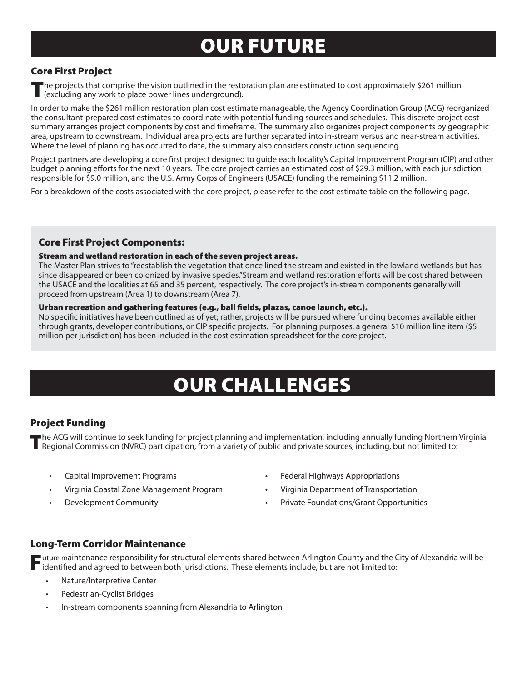# **OUR FUTURE**

### **Core First Project**

**T**he projects that comprise the vision outlined in the restoration plan are estimated to cost approximately \$261 million (excluding any work to place power lines underground).

In order to make the \$261 million restoration plan cost estimate manageable, the Agency Coordination Group (ACG) reorganized the consultant-prepared cost estimates to coordinate with potential funding sources and schedules. This discrete project cost summary arranges project components by cost and timeframe. The summary also organizes project components by geographic area, upstream to downstream. Individual area projects are further separated into in-stream versus and near-stream activities. Where the level of planning has occurred to date, the summary also considers construction sequencing.

Project partners are developing a core first project designed to guide each locality's Capital Improvement Program (CIP) and other budget planning efforts for the next 10 years. The core project carries an estimated cost of \$29.3 million, with each jurisdiction responsible for \$9.0 million, and the U.S. Army Corps of Engineers (USACE) funding the remaining \$11.2 million.

For a breakdown of the costs associated with the core project, please refer to the cost estimate table on the following page.

#### **Core First Project Components:**

#### **Stream and wetland restoration in each of the seven project areas.**

The Master Plan strives to "reestablish the vegetation that once lined the stream and existed in the lowland wetlands but has since disappeared or been colonized by invasive species."Stream and wetland restoration efforts will be cost shared between the USACE and the localities at 65 and 35 percent, respectively. The core project's in-stream components generally will proceed from upstream (Area 1) to downstream (Area 7).

#### Urban recreation and gathering features (e.g., ball fields, plazas, canoe launch, etc.).

No specific initiatives have been outlined as of yet; rather, projects will be pursued where funding becomes available either through grants, developer contributions, or CIP specific projects. For planning purposes, a general \$10 million line item (\$5 million per jurisdiction) has been included in the cost estimation spreadsheet for the core project.

# **OUR CHALLENGES**

### **Project Funding**

The ACG will continue to seek funding for project planning and implementation, including annually funding Northern Virginia<br>Regional Commission (NVRC) participation, from a variety of public and private sources, including,

- 
- Virginia Coastal Zone Management Program Virginia Department of Transportation
- 
- Federal Highways Appropriations Capital Improvement Programs
	-
- **Development Community Community Community Example 20 Youtube Private Foundations/Grant Opportunities**

#### **Long-Term Corridor Maintenance**

Tuture maintenance responsibility for structural elements shared between Arlington County and the City of Alexandria will be identified and agreed to between both jurisdictions. These elements include, but are not limited

- Nature/Interpretive Center •
- Pedestrian-Cyclist Bridges •
- In-stream components spanning from Alexandria to Arlington •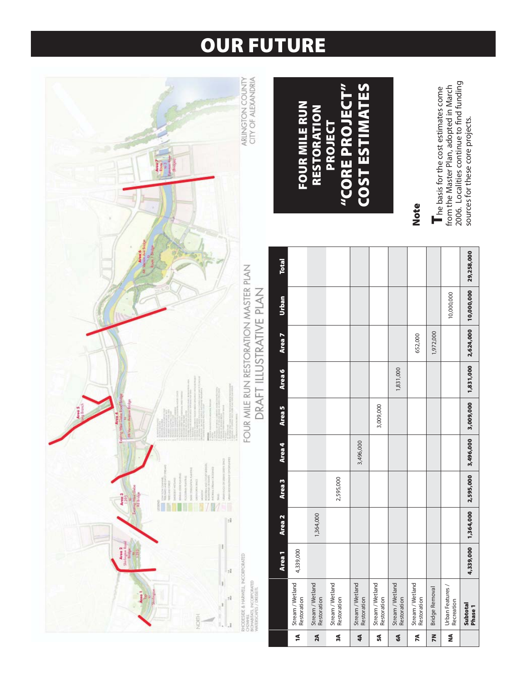# **OUR FUTURE**



**Phase 1 4,339,000 1,364,000 2,595,000 3,496,000 3,009,000 1,831,000 2,624,000 10,000,000 29,258,000**

3,496,000

1,364,000

4,339,000

3,009,000

1,831,000

29,258,000

10,000,000